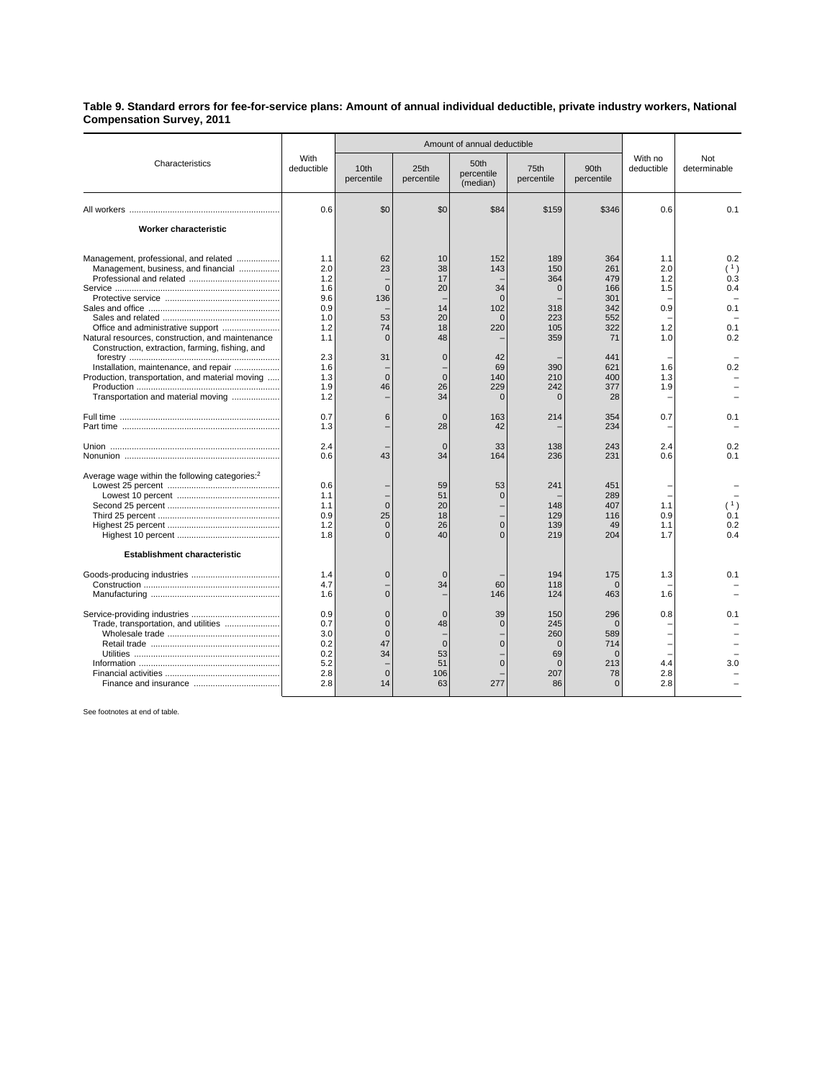## **Table 9. Standard errors for fee-for-service plans: Amount of annual individual deductible, private industry workers, National Compensation Survey, 2011**

|                                                                                                                                                                                                                                                                                                                       | With<br>deductible                                                                                           | Amount of annual deductible                                                      |                                                                                                             |                                                                                                           |                                                                                                      |                                                                                                            |                                                                           |                                                             |
|-----------------------------------------------------------------------------------------------------------------------------------------------------------------------------------------------------------------------------------------------------------------------------------------------------------------------|--------------------------------------------------------------------------------------------------------------|----------------------------------------------------------------------------------|-------------------------------------------------------------------------------------------------------------|-----------------------------------------------------------------------------------------------------------|------------------------------------------------------------------------------------------------------|------------------------------------------------------------------------------------------------------------|---------------------------------------------------------------------------|-------------------------------------------------------------|
| Characteristics                                                                                                                                                                                                                                                                                                       |                                                                                                              | 10th<br>percentile                                                               | 25th<br>percentile                                                                                          | 50th<br>percentile<br>(median)                                                                            | 75th<br>percentile                                                                                   | 90th<br>percentile                                                                                         | With no<br>deductible                                                     | Not<br>determinable                                         |
|                                                                                                                                                                                                                                                                                                                       | 0.6                                                                                                          | \$0                                                                              | \$0                                                                                                         | \$84                                                                                                      | \$159                                                                                                | \$346                                                                                                      | 0.6                                                                       | 0.1                                                         |
| Worker characteristic                                                                                                                                                                                                                                                                                                 |                                                                                                              |                                                                                  |                                                                                                             |                                                                                                           |                                                                                                      |                                                                                                            |                                                                           |                                                             |
| Management, professional, and related<br>Management, business, and financial<br>Natural resources, construction, and maintenance<br>Construction, extraction, farming, fishing, and<br>Installation, maintenance, and repair<br>Production, transportation, and material moving<br>Transportation and material moving | 1.1<br>2.0<br>1.2<br>1.6<br>9.6<br>0.9<br>1.0<br>1.2<br>1.1<br>2.3<br>1.6<br>1.3<br>1.9<br>1.2<br>0.7<br>1.3 | 62<br>23<br>$\Omega$<br>136<br>53<br>74<br>$\Omega$<br>31<br>$\Omega$<br>46<br>6 | 10<br>38<br>17<br>20<br>14<br>20<br>18<br>48<br>$\mathbf 0$<br>$\Omega$<br>26<br>34<br>$\overline{0}$<br>28 | 152<br>143<br>34<br>$\Omega$<br>102<br>$\Omega$<br>220<br>42<br>69<br>140<br>229<br>$\Omega$<br>163<br>42 | 189<br>150<br>364<br>$\mathbf 0$<br>318<br>223<br>105<br>359<br>390<br>210<br>242<br>$\Omega$<br>214 | 364<br>261<br>479<br>166<br>301<br>342<br>552<br>322<br>71<br>441<br>621<br>400<br>377<br>28<br>354<br>234 | 1.1<br>2.0<br>1.2<br>1.5<br>0.9<br>1.2<br>1.0<br>1.6<br>1.3<br>1.9<br>0.7 | 0.2<br>(1)<br>0.3<br>0.4<br>0.1<br>0.1<br>0.2<br>0.2<br>0.1 |
|                                                                                                                                                                                                                                                                                                                       | 2.4<br>0.6                                                                                                   | 43                                                                               | $\Omega$<br>34                                                                                              | 33<br>164                                                                                                 | 138<br>236                                                                                           | 243<br>231                                                                                                 | 2.4<br>0.6                                                                | 0.2<br>0.1                                                  |
| Average wage within the following categories: <sup>2</sup>                                                                                                                                                                                                                                                            | 0.6<br>1.1<br>1.1<br>0.9<br>1.2<br>1.8                                                                       | $\Omega$<br>25<br>$\Omega$<br>$\Omega$                                           | 59<br>51<br>20<br>18<br>26<br>40                                                                            | 53<br>$\Omega$<br>$\overline{0}$<br>$\Omega$                                                              | 241<br>148<br>129<br>139<br>219                                                                      | 451<br>289<br>407<br>116<br>49<br>204                                                                      | 1.1<br>0.9<br>1.1<br>1.7                                                  | (1)<br>0.1<br>0.2<br>0.4                                    |
| Establishment characteristic                                                                                                                                                                                                                                                                                          | 1.4                                                                                                          | $\mathbf 0$                                                                      | $\Omega$                                                                                                    |                                                                                                           | 194                                                                                                  | 175                                                                                                        | 1.3                                                                       | 0.1                                                         |
|                                                                                                                                                                                                                                                                                                                       | 4.7<br>1.6                                                                                                   | $\Omega$                                                                         | 34                                                                                                          | 60<br>146                                                                                                 | 118<br>124                                                                                           | $\Omega$<br>463                                                                                            | 1.6                                                                       |                                                             |
| Trade, transportation, and utilities                                                                                                                                                                                                                                                                                  | 0.9<br>0.7<br>3.0<br>0.2<br>0.2<br>5.2<br>2.8<br>2.8                                                         | $\Omega$<br>$\Omega$<br>$\Omega$<br>47<br>34<br>$\mathbf{0}$<br>14               | $\Omega$<br>48<br>$\overline{0}$<br>53<br>51<br>106<br>63                                                   | 39<br>$\Omega$<br>$\Omega$<br>$\Omega$<br>277                                                             | 150<br>245<br>260<br>$\mathbf 0$<br>69<br>$\Omega$<br>207<br>86                                      | 296<br>$\Omega$<br>589<br>714<br>$\Omega$<br>213<br>78<br>$\Omega$                                         | 0.8<br>4.4<br>2.8<br>2.8                                                  | 0.1<br>3.0                                                  |

See footnotes at end of table.